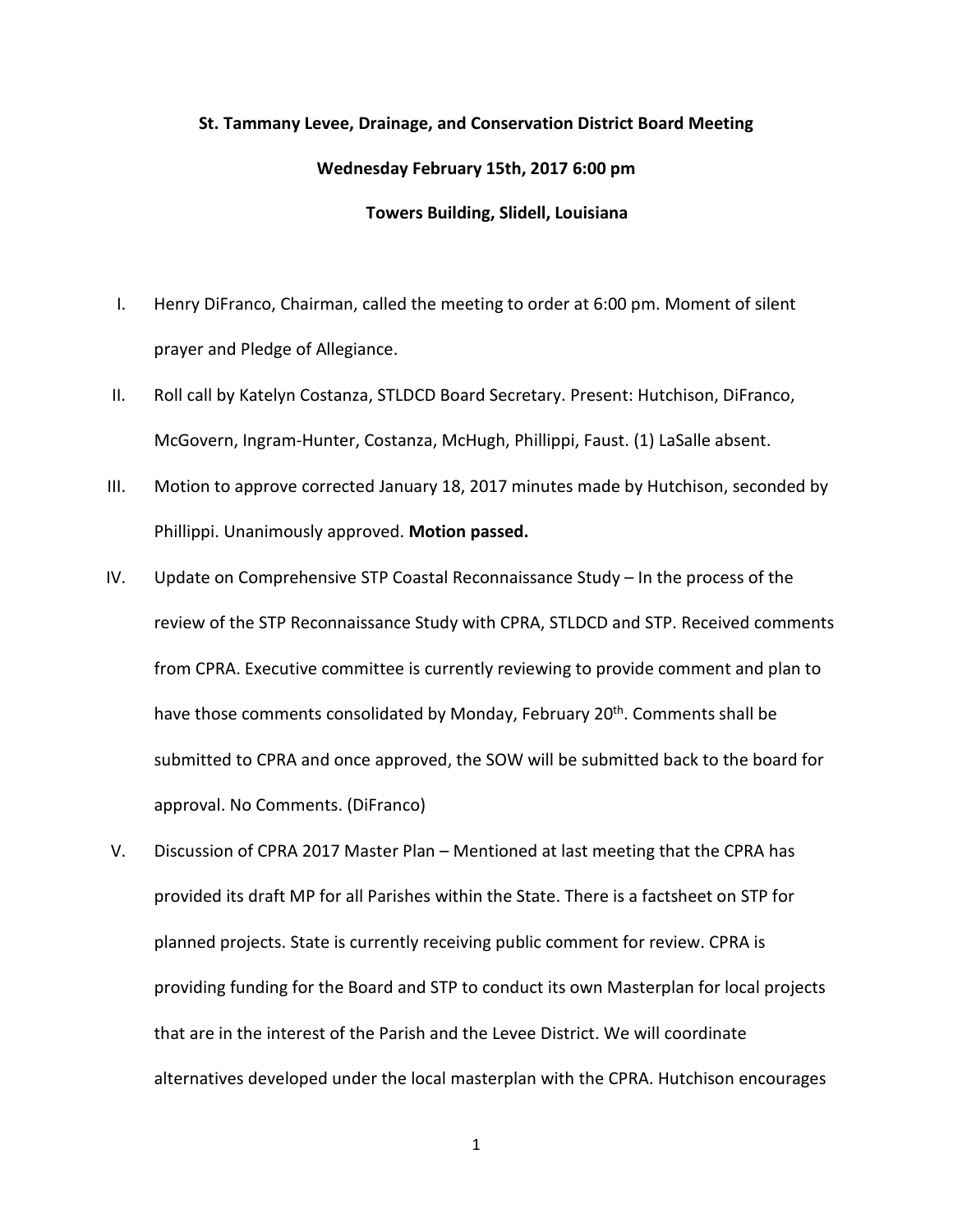## **St. Tammany Levee, Drainage, and Conservation District Board Meeting Wednesday February 15th, 2017 6:00 pm Towers Building, Slidell, Louisiana**

- I. Henry DiFranco, Chairman, called the meeting to order at 6:00 pm. Moment of silent prayer and Pledge of Allegiance.
- II. Roll call by Katelyn Costanza, STLDCD Board Secretary. Present: Hutchison, DiFranco, McGovern, Ingram-Hunter, Costanza, McHugh, Phillippi, Faust. (1) LaSalle absent.
- III. Motion to approve corrected January 18, 2017 minutes made by Hutchison, seconded by Phillippi. Unanimously approved. **Motion passed.**
- IV. Update on Comprehensive STP Coastal Reconnaissance Study In the process of the review of the STP Reconnaissance Study with CPRA, STLDCD and STP. Received comments from CPRA. Executive committee is currently reviewing to provide comment and plan to have those comments consolidated by Monday, February 20<sup>th</sup>. Comments shall be submitted to CPRA and once approved, the SOW will be submitted back to the board for approval. No Comments. (DiFranco)
- V. Discussion of CPRA 2017 Master Plan Mentioned at last meeting that the CPRA has provided its draft MP for all Parishes within the State. There is a factsheet on STP for planned projects. State is currently receiving public comment for review. CPRA is providing funding for the Board and STP to conduct its own Masterplan for local projects that are in the interest of the Parish and the Levee District. We will coordinate alternatives developed under the local masterplan with the CPRA. Hutchison encourages